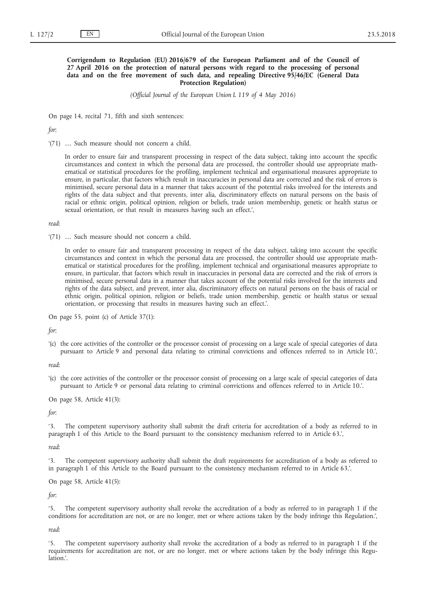## **Corrigendum to Regulation (EU) 2016/679 of the European Parliament and of the Council of 27 April 2016 on the protection of natural persons with regard to the processing of personal data and on the free movement of such data, and repealing Directive 95/46/EC (General Data Protection Regulation)**

*(Official Journal of the European Union L 119 of 4 May 2016)*

On page 14, recital 71, fifth and sixth sentences:

*for*:

'(71) … Such measure should not concern a child.

In order to ensure fair and transparent processing in respect of the data subject, taking into account the specific circumstances and context in which the personal data are processed, the controller should use appropriate mathematical or statistical procedures for the profiling, implement technical and organisational measures appropriate to ensure, in particular, that factors which result in inaccuracies in personal data are corrected and the risk of errors is minimised, secure personal data in a manner that takes account of the potential risks involved for the interests and rights of the data subject and that prevents, inter alia, discriminatory effects on natural persons on the basis of racial or ethnic origin, political opinion, religion or beliefs, trade union membership, genetic or health status or sexual orientation, or that result in measures having such an effect.',

*read*:

'(71) … Such measure should not concern a child.

In order to ensure fair and transparent processing in respect of the data subject, taking into account the specific circumstances and context in which the personal data are processed, the controller should use appropriate mathematical or statistical procedures for the profiling, implement technical and organisational measures appropriate to ensure, in particular, that factors which result in inaccuracies in personal data are corrected and the risk of errors is minimised, secure personal data in a manner that takes account of the potential risks involved for the interests and rights of the data subject, and prevent, inter alia, discriminatory effects on natural persons on the basis of racial or ethnic origin, political opinion, religion or beliefs, trade union membership, genetic or health status or sexual orientation, or processing that results in measures having such an effect.'.

On page 55, point (c) of Article 37(1):

*for*:

'(c) the core activities of the controller or the processor consist of processing on a large scale of special categories of data pursuant to Article 9 and personal data relating to criminal convictions and offences referred to in Article 10.',

*read*:

'(c) the core activities of the controller or the processor consist of processing on a large scale of special categories of data pursuant to Article 9 or personal data relating to criminal convictions and offences referred to in Article 10.'.

On page 58, Article 41(3):

*for*:

'3. The competent supervisory authority shall submit the draft criteria for accreditation of a body as referred to in paragraph 1 of this Article to the Board pursuant to the consistency mechanism referred to in Article 63.',

*read*:

'3. The competent supervisory authority shall submit the draft requirements for accreditation of a body as referred to in paragraph 1 of this Article to the Board pursuant to the consistency mechanism referred to in Article 63.'.

On page 58, Article 41(5):

*for*:

'5. The competent supervisory authority shall revoke the accreditation of a body as referred to in paragraph 1 if the conditions for accreditation are not, or are no longer, met or where actions taken by the body infringe this Regulation.',

*read*:

'5. The competent supervisory authority shall revoke the accreditation of a body as referred to in paragraph 1 if the requirements for accreditation are not, or are no longer, met or where actions taken by the body infringe this Regulation.'.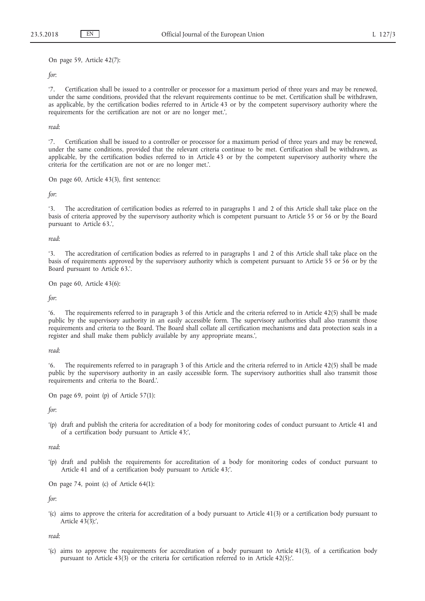On page 59, Article 42(7):

*for*:

'7. Certification shall be issued to a controller or processor for a maximum period of three years and may be renewed, under the same conditions, provided that the relevant requirements continue to be met. Certification shall be withdrawn, as applicable, by the certification bodies referred to in Article 43 or by the competent supervisory authority where the requirements for the certification are not or are no longer met.',

*read*:

'7. Certification shall be issued to a controller or processor for a maximum period of three years and may be renewed, under the same conditions, provided that the relevant criteria continue to be met. Certification shall be withdrawn, as applicable, by the certification bodies referred to in Article 43 or by the competent supervisory authority where the criteria for the certification are not or are no longer met.'.

On page 60, Article 43(3), first sentence:

*for*:

'3. The accreditation of certification bodies as referred to in paragraphs 1 and 2 of this Article shall take place on the basis of criteria approved by the supervisory authority which is competent pursuant to Article 55 or 56 or by the Board pursuant to Article 63.',

*read*:

'3. The accreditation of certification bodies as referred to in paragraphs 1 and 2 of this Article shall take place on the basis of requirements approved by the supervisory authority which is competent pursuant to Article 55 or 56 or by the Board pursuant to Article 63.'.

On page 60, Article 43(6):

*for*:

'6. The requirements referred to in paragraph 3 of this Article and the criteria referred to in Article 42(5) shall be made public by the supervisory authority in an easily accessible form. The supervisory authorities shall also transmit those requirements and criteria to the Board. The Board shall collate all certification mechanisms and data protection seals in a register and shall make them publicly available by any appropriate means.',

*read*:

'6. The requirements referred to in paragraph 3 of this Article and the criteria referred to in Article 42(5) shall be made public by the supervisory authority in an easily accessible form. The supervisory authorities shall also transmit those requirements and criteria to the Board.'.

On page 69, point (p) of Article 57(1):

*for*:

'(p) draft and publish the criteria for accreditation of a body for monitoring codes of conduct pursuant to Article 41 and of a certification body pursuant to Article 43;',

*read*:

'(p) draft and publish the requirements for accreditation of a body for monitoring codes of conduct pursuant to Article 41 and of a certification body pursuant to Article 43;'.

On page 74, point (c) of Article 64(1):

*for*:

'(c) aims to approve the criteria for accreditation of a body pursuant to Article 41(3) or a certification body pursuant to Article  $43(\overline{3})$ ;',

*read*:

'(c) aims to approve the requirements for accreditation of a body pursuant to Article 41(3), of a certification body pursuant to Article 43(3) or the criteria for certification referred to in Article 42(5);'.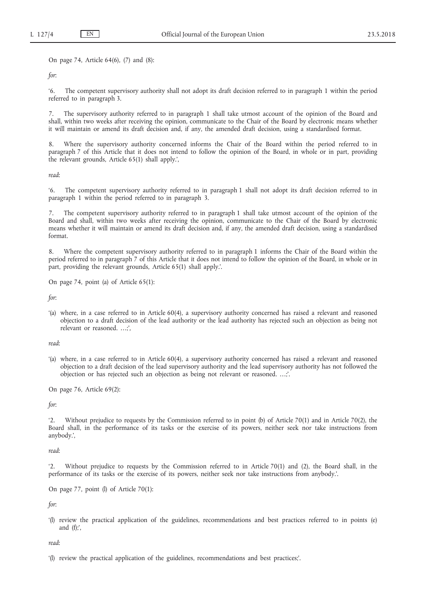On page 74, Article 64(6), (7) and (8):

*for*:

'6. The competent supervisory authority shall not adopt its draft decision referred to in paragraph 1 within the period referred to in paragraph 3.

The supervisory authority referred to in paragraph 1 shall take utmost account of the opinion of the Board and shall, within two weeks after receiving the opinion, communicate to the Chair of the Board by electronic means whether it will maintain or amend its draft decision and, if any, the amended draft decision, using a standardised format.

Where the supervisory authority concerned informs the Chair of the Board within the period referred to in paragraph 7 of this Article that it does not intend to follow the opinion of the Board, in whole or in part, providing the relevant grounds, Article 65(1) shall apply.',

*read*:

'6. The competent supervisory authority referred to in paragraph 1 shall not adopt its draft decision referred to in paragraph 1 within the period referred to in paragraph 3.

7. The competent supervisory authority referred to in paragraph 1 shall take utmost account of the opinion of the Board and shall, within two weeks after receiving the opinion, communicate to the Chair of the Board by electronic means whether it will maintain or amend its draft decision and, if any, the amended draft decision, using a standardised format.

8. Where the competent supervisory authority referred to in paragraph 1 informs the Chair of the Board within the period referred to in paragraph 7 of this Article that it does not intend to follow the opinion of the Board, in whole or in part, providing the relevant grounds, Article 65(1) shall apply.'.

On page 74, point (a) of Article 65(1):

*for*:

'(a) where, in a case referred to in Article 60(4), a supervisory authority concerned has raised a relevant and reasoned objection to a draft decision of the lead authority or the lead authority has rejected such an objection as being not relevant or reasoned. …;',

*read*:

'(a) where, in a case referred to in Article 60(4), a supervisory authority concerned has raised a relevant and reasoned objection to a draft decision of the lead supervisory authority and the lead supervisory authority has not followed the objection or has rejected such an objection as being not relevant or reasoned. …;'.

On page 76, Article 69(2):

*for*:

'2. Without prejudice to requests by the Commission referred to in point (b) of Article 70(1) and in Article 70(2), the Board shall, in the performance of its tasks or the exercise of its powers, neither seek nor take instructions from anybody.',

*read*:

'2. Without prejudice to requests by the Commission referred to in Article 70(1) and (2), the Board shall, in the performance of its tasks or the exercise of its powers, neither seek nor take instructions from anybody.'.

On page 77, point (l) of Article 70(1):

*for*:

'(l) review the practical application of the guidelines, recommendations and best practices referred to in points (e) and  $(f)$ ;',

*read*:

'(l) review the practical application of the guidelines, recommendations and best practices;'.